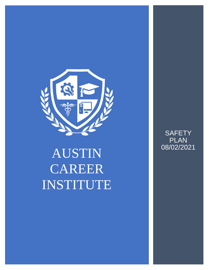

# AUSTIN CAREER INSTITUTE

**SAFETY** PLAN 08/02/2021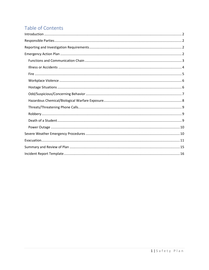# Table of Contents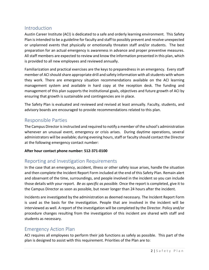# <span id="page-2-0"></span>Introduction

Austin Career Institute (ACI) is dedicated to a safe and orderly learning environment. This Safety Plan is intended to be a guideline for faculty and staff to possibly prevent and resolve unexpected or unplanned events that physically or emotionally threaten staff and/or students. The best preparation for an actual emergency is awareness in advance and proper preventive measures. All staff members are expected to review and know the information presented in this plan, which is provided to all new employees and reviewed annually.

Familiarization and practical exercises are the keys to preparedness in an emergency. Every staff member of ACI should share appropriate drill and safety information with all students with whom they work. There are emergency situation recommendations available on the ACI learning management system and available in hard copy at the reception desk. The funding and management of this plan supports the institutional goals, objectives and future growth of ACI by ensuring that growth is sustainable and contingencies are in place.

The Safety Plan is evaluated and reviewed and revised at least annually. Faculty, students, and advisory boards are encouraged to provide recommendations related to this plan.

# <span id="page-2-1"></span>Responsible Parties

The Campus Director is instructed and required to notify a member of the school's administration whenever an unusual event, emergency or crisis arises. During daytime operations, several administrators will be available; during evening hours, staff or faculty should contact the Director at the following emergency contact number:

## **After hour contact phone number: 512-371-0100**

# <span id="page-2-2"></span>Reporting and Investigation Requirements

In the case that an emergency, accident, illness or other safety issue arises, handle the situation and then complete the Incident Report Form included at the end of this Safety Plan. Remain alert and observant of the time, surroundings, and people involved in the incident so you can include those details with your report. *Be as specific as possible.* Once the report is completed, give it to the Campus Director as soon as possible, but never longer than 24 hours after the incident.

Incidents are investigated by the administration as deemed necessary. The Incident Report Form is used as the basis for the investigation. People that are involved in the incident will be interviewed as well. A report of the investigation will be completed by the Director. Policy and/or procedure changes resulting from the investigation of this incident are shared with staff and students as necessary.

# <span id="page-2-3"></span>Emergency Action Plan

ACI requires all employees to perform their job functions as safely as possible. This part of the plan is designed to assist with this requirement. Priorities of the Plan are to: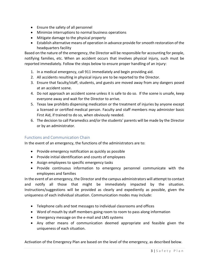- Ensure the safety of all personnel
- Minimize interruptions to normal business operations
- Mitigate damage to the physical property
- Establish alternative means of operation in advance provide for smooth restoration of the headquarters facility

Based on the nature of the emergency, the Director will be responsible for accounting for people, notifying families, etc. When an accident occurs that involves physical injury, such must be reported immediately. Follow the steps below to ensure proper handling of an injury:

- 1. In a medical emergency, call 911 immediately and begin providing aid.
- 2. All accidents resulting in physical injury are to be reported to the Director.
- 3. Ensure that faculty/staff, students, and guests are moved away from any dangers posed at an accident scene.
- 4. Do not approach an accident scene unless it is safe to do so. If the scene is unsafe, keep everyone away and wait for the Director to arrive.
- 5. Texas law prohibits dispensing medication or the treatment of injuries by anyone except a licensed or certified medical person. Faculty and staff members may administer basic First Aid, if trained to do so, when obviously needed.
- 6. The decision to call Paramedics and/or the students' parents will be made by the Director or by an administrator.

## <span id="page-3-0"></span>Functions and Communication Chain

In the event of an emergency, the functions of the administrators are to:

- Provide emergency notification as quickly as possible
- Provide initial identification and counts of employees
- Assign employees to specific emergency tasks
- Provide continuous information to emergency personnel communicate with the employees and families

In the event of an emergency, the Director and the campus administrators will attempt to contact and notify all those that might be immediately impacted by the situation. Instructions/suggestions will be provided as clearly and expediently as possible, given the uniqueness of each individual situation. Communication modes may include:

- Telephone calls and text messages to individual classrooms and offices
- Word of mouth by staff members going room to room to pass along information
- Emergency message on the e-mail and LMS systems
- Any other means of communication deemed appropriate and feasible given the uniqueness of each situation.

Activation of the Emergency Plan are based on the level of the emergency, as described below.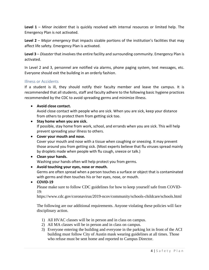**Level 1** – *Minor incident* that is quickly resolved with internal resources or limited help. The Emergency Plan is not activated.

**Level 2** – *Major emergency* that impacts sizable portions of the institution's facilities that may affect life safety. Emergency Plan is activated.

**Level 3** – *Disaster* that involves the entire facility and surrounding community. Emergency Plan is activated.

In Level 2 and 3, personnel are notified via alarms, phone paging system, text messages, etc. Everyone should exit the building in an orderly fashion.

#### <span id="page-4-0"></span>Illness or Accidents

If a student is ill, they should notify their faculty member and leave the campus. It is recommended that all students, staff and faculty adhere to the following basic hygiene practices recommended by the CDC to avoid spreading germs and minimize illness.

## • **Avoid close contact.**

Avoid close contact with people who are sick. When you are sick, keep your distance from others to protect them from getting sick too.

## • **Stay home when you are sick.**

If possible, stay home from work, school, and errands when you are sick. This will help prevent spreading your illness to others.

### • **Cover your mouth and nose.**

Cover your mouth and nose with a tissue when coughing or sneezing. It may prevent those around you from getting sick. (Most experts believe that flu viruses spread mainly by droplets made when people with flu cough, sneeze or talk.)

#### • **Clean your hands.** Washing your hands often will help protect you from germs.

#### • **Avoid touching your eyes, nose or mouth.**

Germs are often spread when a person touches a surface or object that is contaminated with germs and then touches his or her eyes, nose, or mouth.

## • **COVID-19**

Please make sure to follow CDC guidelines for how to keep yourself safe from COVID-19:

https://www.cdc.gov/coronavirus/2019-ncov/community/schools-childcare/schools.html

The following are our additional requirements. Anyone violating these policies will face disciplinary action.

- 1) All HVAC classes will be in person and in class on campus.
- 2) All MA classes will be in person and in class on campus.
- 3) Everyone entering the building and everyone in the parking lot in front of the ACI building must follow City of Austin mask wearing guidelines at all times. Those who refuse must be sent home and reported to Campus Director.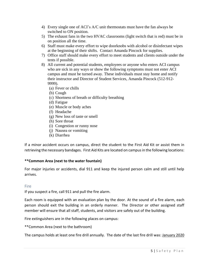- 4) Every single one of ACI's A/C unit thermostats must have the fan always be switched to ON position.
- 5) The exhaust fans in the two HVAC classrooms (light switch that is red) must be in on position all the time.
- 6) Staff must make every effort to wipe doorknobs with alcohol or disinfectant wipes at the beginning of their shifts. Contact Amanda Pincock for supplies.
- 7) Office staff should make every effort to meet students and clients outside under the tents if possible.
- 8) All current and potential students, employees or anyone who enters ACI campus who are sick in any ways or show the following symptoms must not enter ACI campus and must be turned away. These individuals must stay home and notify their instructor and Director of Student Services, Amanda Pincock (512-912- 9999).
	- (a) Fever or chills
	- (b) Cough
	- (c) Shortness of breath or difficulty breathing
	- (d) Fatigue
	- (e) Muscle or body aches
	- (f) Headache
	- (g) New loss of taste or smell
	- (h) Sore throat
	- (i) Congestion or runny nose
	- (j) Nausea or vomiting
	- (k) Diarrhea

If a minor accident occurs on campus, direct the student to the First Aid Kit or assist them in retrieving the necessary bandages. First Aid Kits are located on campusin the following locations:

#### **\*\*Common Area (next to the water fountain)**

For major injuries or accidents, dial 911 and keep the injured person calm and still until help arrives.

#### <span id="page-5-0"></span>Fire

If you suspect a fire, call 911 and pull the fire alarm.

Each room is equipped with an evaluation plan by the door. At the sound of a fire alarm, each person should exit the building in an orderly manner. The Director or other assigned staff member will ensure that all staff, students, and visitors are safely out of the building.

Fire extinguishers are in the following places on campus:

\*\*Common Area (next to the bathroom)

The campus holds at least one fire drill annually. The date of the last fire drill was: January 2020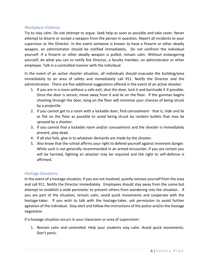## <span id="page-6-0"></span>Workplace Violence

Try to stay calm. Do not attempt to argue. Seek help as soon as possible and take cover. Never attempt to disarm or accept a weapon from the person in question. Report all incidents to your supervisor or the Director. In the event someone is known to have a firearm or other deadly weapon, an administrator should be notified immediately. Do not confront the individual yourself. If a firearm or other deadly weapon is pulled, remain calm. Without endangering yourself, do what you can to notify the Director, a faculty member, an administrator or other employee. Talk in a controlled manner with the individual.

In the event of an active shooter situation, all individuals should evacuate the building/area immediately to an area of safety and immediately call 911. Notify the Director and the administration. There are five additional suggestions offered in the event of an active shooter:

- 1. If you are in a room without a safe exit, shut the door, lock it and barricade it if possible. Once the door is secure, move away from it and lie on the floor. If the gunman begins shooting through the door, lying on the floor will minimize your chances of being struck by a projectile.
- 2. If you cannot get to a room with a lockable door, find concealment that is, hide and lie as flat on the floor as possible to avoid being struck by random bullets that may be sprayed by a shooter.
- 3. If you cannot find a lockable room and/or concealment and the shooter is immediately present, play dead.
- 4. If all else fails, give in to whatever demands are made by the shooter.
- 5. Also know that the school affirms your right to defend yourself against imminent danger. While such is not generally recommended in an armed encounter, if you are certain you will be harmed, fighting an attacker may be required and the right to self-defense is affirmed.

#### <span id="page-6-1"></span>Hostage Situations

In the event of a hostage situation, if you are not involved, quietly remove yourself from the area and call 911. Notify the Director immediately. Employees should stay away from the scene but attempt to establish a wide perimeter to prevent others from wandering into the situation. If you are part of the situation, remain calm, avoid quick movements and cooperate with the hostage-taker. If you wish to talk with the hostage-taker, *ask permission* to avoid further agitation of the individual. Stay alert and follow the instructions of the police and/or the hostage negotiator.

If a hostage situation occurs in your classroom or area of supervision:

1. Remain calm and controlled. Help your students stay calm. Avoid quick movements. Don't panic.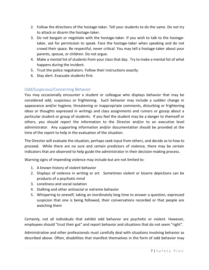- 2. Follow the directions of the hostage-taker. Tell your students to do the same. Do not try to attack or disarm the hostage-taker.
- 3. Do not bargain or negotiate with the hostage-taker. If you wish to talk to the hostagetaker, ask for permission to speak. Face the hostage-taker when speaking and do not crowd their space. Be respectful, never critical. You may tell a hostage-taker about your parents, spouse, or children. Do not argue.
- 4. Make a mental list of students from your class that day. Try to make a mental list of what happens during the incident.
- 5. Trust the police negotiators. Follow their instructions exactly.
- 6. Stay alert. Evacuate students first.

## <span id="page-7-0"></span>Odd/Suspicious/Concerning Behavior

You may occasionally encounter a student or colleague who displays behavior that may be considered odd, suspicious or frightening. Such behavior may include a sudden change in appearance and/or hygiene, threatening or inappropriate comments, disturbing or frightening ideas or thoughts expressed in writings and class assignments and rumors or gossip about a particular student or group of students. If you feel the student may be a danger to themself or others, you should report the information to the Director and/or to an executive level administrator. Any supporting information and/or documentation should be provided at the time of the report to help in the evaluation of the situation.

The Director will evaluate the situation, perhaps seek input from others, and decide as to how to proceed. While there are no sure and certain predictors of violence, there may be certain indicators that are observed to help guide the administrator in their decision-making process.

Warning signs of impending violence may include but are not limited to:

- 1. A known history of violent behavior
- 2. Displays of violence in writing or art. Sometimes violent or bizarre depictions can be products of a psychotic mind
- 3. Loneliness and social isolation
- 4. Stalking and other antisocial or extreme behavior
- 5. Whispering to oneself, taking an inordinately long time to answer a question, expressed suspicion that one is being followed, their conversations recorded or that people are watching them

Certainly, not all individuals that exhibit odd behavior are psychotic or violent. However, employees should "trust their gut" and report behavior and situations that do not seem "right".

Administrative and other professionals must carefully deal with situations involving behavior as described above. Often, disabilities that manifest themselves in the form of odd behavior may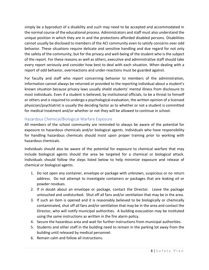simply be a byproduct of a disability and such may need to be accepted and accommodated in the normal course of the educational process. Administrators and staff must also understand the unique position in which they are in and the protections afforded disabled persons. Disabilities cannot usually be disclosed to members of the ACI community even to satisfy concerns over odd behavior. These situations require delicate and sensitive handling and due regard for not only the safety of the community, but for the privacy and well-being of the student who is the subject of the report. For these reasons as well as others, executive and administrative staff should take every report seriously and consider how best to deal with each situation. When dealing with a report of odd behavior, overreactions and under-reactions must be guarded against.

For faculty and staff who report concerning behavior to members of the administration, information cannot always be returned or provided to the reporting individual about a student's known situation because privacy laws usually shield students' mental illness from disclosure to most individuals. Even if a student is believed, by institutional officials, to be a threat to himself or others and is required to undergo a psychological evaluation, the written opinion of a licensed physician/psychiatrist is usually the deciding factor as to whether or not a student is committed for medical treatment and/or whether or not they will be allowed to continue in school.

## <span id="page-8-0"></span>Hazardous Chemical/Biological Warfare Exposure

All members of the school community are reminded to always be aware of the potential for exposure to hazardous chemicals and/or biological agents. Individuals who have responsibility for handling hazardous chemicals should insist upon proper training prior to working with hazardous chemicals.

Individuals should also be aware of the potential for exposure to chemical warfare that may include biological agents should the area be targeted for a chemical or biological attack. Individuals should follow the steps listed below to help minimize exposure and release of chemical or biological agents.

- 1. Do not open any container, envelope or package with unknown, suspicious or no return address. Do not attempt to investigate containers or packages that are leaking oil or powder residues.
- 2. If in doubt about an envelope or package, contact the Director. Leave the package untouched and undisturbed. Shut off all fans and/or ventilation that may be in the area.
- 3. If such an item is opened and it is reasonably believed to be biologically or chemically contaminated, shut off all fans and/or ventilation that may be in the area and contact the Director, who will notify municipal authorities. A building evacuation may be instituted using the same instructions as written in the fire alarm policy.
- 4. Secure the hazardous area and wait for further instructions from municipal authorities.
- 5. Students and other staff in the building need to remain in the parking lot away from the building until released by medical personnel.
- 6. Remain calm and follow all instructions.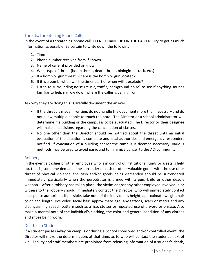## <span id="page-9-0"></span>Threats/Threatening Phone Calls

In the event of a threatening phone call, DO NOT HANG UP ON THE CALLER. Try to get as much information as possible. Be certain to write down the following:

- 1. Time
- 2. Phone number received from if known
- 3. Name of caller if provided or known
- 4. What type of threat (bomb threat, death threat, biological attack, etc.)
- 5. If a bomb or gun threat, where is the bomb or gun located?
- 6. If it is a bomb, when will the timer start or when will it explode?
- 7. Listen to surrounding noise (music, traffic, background noise) to see if anything sounds familiar to help narrow down where the caller is calling from.

Ask why they are doing this. Carefully document the answer.

- If the threat is made in writing, do not handle the document more than necessary and do not allow multiple people to touch the note. The Director or a school administrator will determine if a building or the campus is to be evacuated. The Director or their designee will make all decisions regarding the cancellation of classes.
- No one other than the Director should be notified about the threat until an initial evaluation of the situation is complete and local authorities and emergency responders notified. If evacuation of a building and/or the campus is deemed necessary, various methods may be used to avoid panic and to minimize danger to the ACI community.

#### <span id="page-9-1"></span>Robbery

In the event a cashier or other employee who is in control of institutional funds or assets is held up, that is, someone demands the surrender of cash or other valuable goods with the use of or threat of physical violence, the cash and/or goods being demanded should be surrendered immediately, particularly when the perpetrator is armed with a gun, knife or other deadly weapon. After a robbery has taken place, the victim and/or any other employee involved in or witness to the robbery should immediately contact the Director, who will immediately contact local police authorities. If possible, take note of the individual's height, approximate weight, hair color and length, eye color, facial hair, approximate age, any tattoos, scars or marks and any distinguishing speech pattern such as a lisp, stutter or repeated use of a word or phrase. Also make a mental note of the individual's clothing, the color and general condition of any clothes and shoes being worn.

#### <span id="page-9-2"></span>Death of a Student

If a student passes away on campus or during a School sponsored and/or controlled event, the Director will make the determination, at that time, as to who will contact the student's next of kin. Faculty and staff members are prohibited from releasing information of a student's death,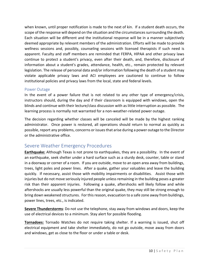when known, until proper notification is made to the next of kin. If a student death occurs, the scope of the response will depend on the situation and the circumstances surrounding the death. Each situation will be different and the institutional response will be in a manner subjectively deemed appropriate by relevant members of the administration. Efforts will be made to provide wellness sessions and, possibly, counseling sessions with licensed therapists if such need is apparent. Faculty and staff members are reminded that FERPA, HlPAA and other privacy laws continue to protect a student's privacy, even after their death, and, therefore, disclosure of information about a student's grades, attendance, health, etc., remain protected by relevant legislation. The release of personal data and/or information following the death of a student may violate applicable privacy laws and ACI employees are cautioned to continue to follow institutional policies and privacy laws from the local, state and federal levels.

#### <span id="page-10-0"></span>Power Outage

In the event of a power failure that is not related to any other type of emergency/crisis, instructors should, during the day and if their classroom is equipped with windows, open the blinds and continue with their lecture/class discussion with as little interruption as possible. The learning process is normally not warranted for a non-weather-related power outage.

The decision regarding whether classes will be canceled will be made by the highest ranking administrator. Once power is restored, all operations should return to normal as quickly as possible, report any problems, concerns or issues that arise during a power outage to the Director or the administrative office.

# <span id="page-10-1"></span>Severe Weather Emergency Procedures

**Earthquake:** Although Texas is not prone to earthquakes, they are a possibility. In the event of an earthquake, seek shelter under a hard surface such as a sturdy desk, counter, table or stand in a doorway or corner of a room. If you are outside, move to an open area away from buildings, trees, light poles and power lines. After a quake, gather your valuables and leave the building quickly. If necessary, assist those with mobility impairments or disabilities. Assist those with injuries but do not move seriously injured people unless remaining in the building poses a greater risk than their apparent injuries. Following a quake, aftershocks will likely follow and while aftershocks are usually less powerful than the original quake, they may still be strong enough to bring down weakened structures. For this reason, evacuation to a safe zone away from buildings, power lines, trees, etc., is indicated.

**Severe Thunderstorms**: Do not use the telephone, stay away from windows and doors, keep the use of electrical devices to a minimum. Stay alert for possible flooding.

**Tornadoes:** Tornado Watches do not require taking shelter. If a warning is issued, shut off electrical equipment and take shelter immediately, do not go outside, move away from doors and windows, get as close to the floor or under a table or desk.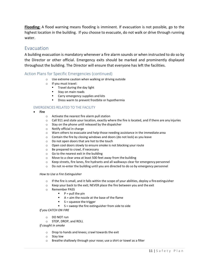**Flooding:** A flood warning means flooding is imminent. If evacuation is not possible, go to the highest location in the building. If you choose to evacuate, do not walk or drive through running water.

# <span id="page-11-0"></span>Evacuation

A building evacuation is mandatory whenever a fire alarm sounds or when instructed to do so by the Director or other official. Emergency exits should be marked and prominently displayed throughout the building. The Director will ensure that everyone has left the facilities.

#### Action Plans for Specific Emergencies (continued)

- o Use extreme caution when walking or driving outside
- o If you must travel:
	- Travel during the day light
	- Stay on main roads
	- Carry emergency supplies and kits
	- Dress warm to prevent frostbite or hypothermia

#### EMERGENCIES RELATED TO THE FACILITY

- **Fire**
	- o Activate the nearest fire alarm pull station
	- $\circ$  Call 911 and state your location, exactly where the fire is located, and if there are any injuries
	- o Stay on the phone until released by the dispatcher
	- o Notify official in charge
	- $\circ$  Warn others to evacuate and help those needing assistance in the immediate area
	- o Contain the fire by closing windows and doors (do not lock) as you leave
	- o Do not open doors that are hot to the touch
	- o Open cool doors slowly to ensure smoke is not blocking your route
	- o Be prepared to crawl, if necessary
	- o Go to the nearest exit in the building
	- o Move to a clear area at least 500 feet away from the building
	- o Keep streets, fire lanes, fire hydrants and all walkways clear for emergency personnel
	- o Do not re‐enter the building until you are directed to do so by emergency personnel

#### *How to Use a Fire Extinguisher*

- $\circ$  If the fire is small, and it falls within the scope of your abilities, deploy a fire extinguisher
- o Keep your back to the exit; NEVER place the fire between you and the exit
- o Remember PASS
	- $\blacksquare$  P = pull the pin
	- A = aim the nozzle at the base of the flame
	- S = squeeze the trigger
	- S = sweep the fire extinguisher from side to side

#### *If you CATCH ON FIRE*

- o DO NOT run
- o STOP, DROP, and ROLL

*If caught in smoke*

- o Drop to hands and knees; crawl towards the exit
- o Stay low
- o Breathe shallowly through your nose; use a shirt or towel as a filter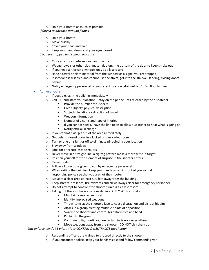o Hold your breath as much as possible

*If forced to advance through flames*

- o Hold your breath
- o Move quickly
- o Cover your head and hair
- o Keep your head down and your eyes closed

*If you are trapped and cannot evacuate*

- o Close any doors between you and the fire
- o Wedge towels or other cloth materials along the bottom of the door to keep smoke out
- o If you need air, break a window only as a last resort
- $\circ$  Hang a towel or cloth material from the window as a signal you are trapped
- $\circ$  If someone is disabled and cannot use the stairs, get into the stairwell landing, closing doors behind
- o Notify emergency personnel of your exact location (stairwell No.1, 3rd floor landing)

• Active Shooter

- o If possible, exit the building immediately
- $\circ$  Call 911 and state your location stay on the phone until released by the dispatcher
	- Provide the number of suspects
	- Give subjects' physical description
	- Subjects' location or direction of travel
	- Weapon information
	- Number of victims and type of injuries
	- **■** If you cannot speak, leave the line open to allow dispatcher to hear what is going on
	- Notify official in charge
- $\circ$  If you cannot exit, get out of the area immediately
- o Get behind closed doors in a locked or barricaded room
- o Turn phone on silent or off to eliminate pinpointing your location
- o Stay away from windows
- o Look for alternate escape routes
- o Never move in a straight line, a zig‐zag pattern make a more difficult target
- o Position yourself for the element of surprise, if the shooter enters
- o Remain calm
- o Follow all directions given to you by emergency personnel
- o When exiting the building, keep your hands raised in front of you so that responding police see that you are not the shooter
- o Move to a clear area at least 500 feet away from the building
- o Keep streets, fire lanes, fire hydrants and all walkways clear for emergency personnel
- o Do not attempt to confront the shooter, unless as a last resort
- o Taking out the shooter is a serious decision ONLY YOU can make
	- Maintain a survival mindset
	- Identify improvised weapons
	- **■** Throw items at the shooters face to cause distraction and disrupt his aim
	- Attack in a group creating multiple points of opposition
	- Swarm the shooter and control his extremities and head
	- Pin him to the ground
	- Continue to fight until you are certain he is no longer athreat
	- Move weapons away from the shooter. DO NOT pick them up

#### *Law enforcement's #1 priority is to CONTAIN & NEUTRALIZE the shooter*

- o Responding officers are trained to proceed directly to the shooter
- o If you encounter police, keep your hands visible and follow commands given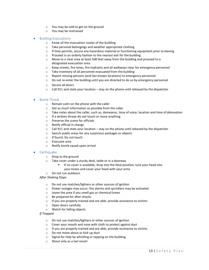- o You may be told to get on the ground
- o You may be restrained

#### • Building Evacuations

- o Know all the evacuation routes of the building
- o Take personal belongings and weather appropriate clothing
- $\circ$  If time permits, secure any hazardous material or functioning equipment prior to leaving
- o Proceed in an orderly fashion to the nearest exit for the building
- $\circ$  Move to a clear area at least 500 feet away from the building and proceed to a designated evacuation area
- o Keep streets, fire lanes, fire hydrants and all walkways clear for emergency personnel
- o Take inventory of all personnel evacuated from the building
- $\circ$  Report missing persons (and last known locations) to emergency personnel
- o Do not re‐enter the building until you are directed to do so by emergency personnel
- o Secure all doors
- $\circ$  Call 911 and state your location stay on the phone until released by the dispatcher

#### • Bomb Threat

- o Remain calm on the phone with the caller
- o Get as much information as possible from the caller
- o Take notes about the caller, such as, demeanor, tone of voice, location and time of detonation
- o If a written threat‐do not touch or move anything
- o Preserve the scene for officials
- o Notify official in charge
- $\circ$  Call 911 and state your location stay on the phone until released by the dispatcher
- o Search public areas for any suspicious packages or objects
- o If found: Do not touch
- o Evacuate area
- o Notify bomb squad upon arrival

#### **Earthquake**

- o Drop to the ground
- o Take cover under a sturdy desk, table or in a doorway
	- If no cover is available, drop into the fetal position, tuck your head into your knees and cover your head with your arms
- o Do not run outdoors

*After Shaking Stops*

- o Do not use matches/lighters or other sources of ignition
- o Power outages may occur; fire alarms and sprinklers may be activated
- o Leave the area if you smell gas or chemical fumes
- o Be prepared for after shocks
- o If you are properly trained and are able, provide assistance to victims
- o Open doors carefully
- o Watch for falling objects

*If Trapped*

- o Do not use matches/lighters or other sources of ignition
- o Cover your mouth and nose with cloth to protect against dust
- o If you are properly trained and are able, provide assistance to victims
- o Do not move about or kick up dust
- o Signal for help by whistling or tapping on the building
- o Shout only as a last resort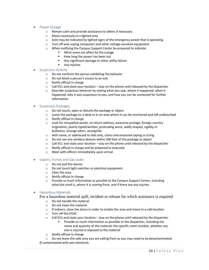- Power Outage
	- o Remain calm and provide assistance to others if necessary
	- o Move cautiously to a lighted area
	- o Exits may be indicated by lighted signs of the emergency power that is operating
	- o Turn off and unplug computers and other voltage‐sensitive equipment
	- o When notifying the Campus Support Center be prepared to indicate:
		- What areas are affect by the outage
		- How long the power has been out
		- Any significant damage or other utility failure
		- Any injuries

#### • Suspicious Activity

- o Do not confront the person exhibiting the behavior
- o Do not block a person's access to an exit
- o Notify official in charge
- $\circ$  Call 911 and state your location stay on the phone until released by the dispatcher
- $\circ$  Describe suspicious behavior by stating what you saw, where it happened, when it happened, why it was suspicious to you, and how you can be contacted for further information
- Suspicious Packages
	- o Do not touch, open or disturb the package or object
	- $\circ$  Leave the package on a desk or in an area where it can be monitored and left undisturbed
	- o Notify official in charge
	- $\circ$  Look for misspelled words, no return address, excessive postage, foreign country origination, poorly typed/written, protruding wires, oddly shaped, rigidity or bulkiness, strange odors, wrongtitle
	- o with name, or addressed to title only, stains and excessive taping orstring
	- $\circ$  Do not use any wireless devices within 500 feet of the package or object
	- $\circ$  Call 911 and state your location stay on the phone until released by the dispatcher
	- o Notify official in charge and be prepared to evacuate
	- o Meet with officers immediately upon arrival

#### • Vapors, Fumes and Gas Leaks

- o Do not pull fire alarms
- o Do not touch light switches or electrical equipment
- o Clear the area
- o Notify official in charge
- $\circ$  Provide as much information as possible to the Campus Support Center, including what the smell is, where it is coming from, and if there are any injuries

#### • Hazardous Materials

For a hazardous material spill, incident or release for which assistance is required

- o Do not handle the material
- o Do not clean the material
- $\circ$  If indoors, close the doors in order to isolate the area and move to a safe location
- o Turn off the HVAC
- $\circ$  Call 911 and state your location stay on the phone until released by the dispatcher
	- Provide as much information as possible to the dispatcher, including the name and quantity of the material, the specific room number, whether any one is injured or exposed to the material
- o Notify official in charge

 $\circ$  Do not leave the safe area you are calling from as you may need to be decontaminated *If contaminated with wet chemicals*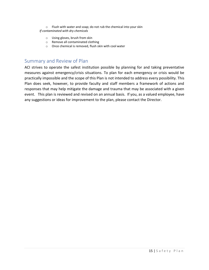o Flush with water and soap; do not rub the chemical into your skin *If contaminated with dry chemicals*

- o Using gloves, brush from skin
- o Remove all contaminated clothing
- o Once chemical is removed, flush skin with cool water

# <span id="page-15-0"></span>Summary and Review of Plan

ACI strives to operate the safest institution possible by planning for and taking preventative measures against emergency/crisis situations. To plan for each emergency or crisis would be practically impossible and the scope of this Plan is not intended to address every possibility. This Plan does seek, however, to provide faculty and staff members a framework of actions and responses that may help mitigate the damage and trauma that may be associated with a given event. This plan is reviewed and revised on an annual basis. If you, as a valued employee, have any suggestions or ideas for improvement to the plan, please contact the Director.